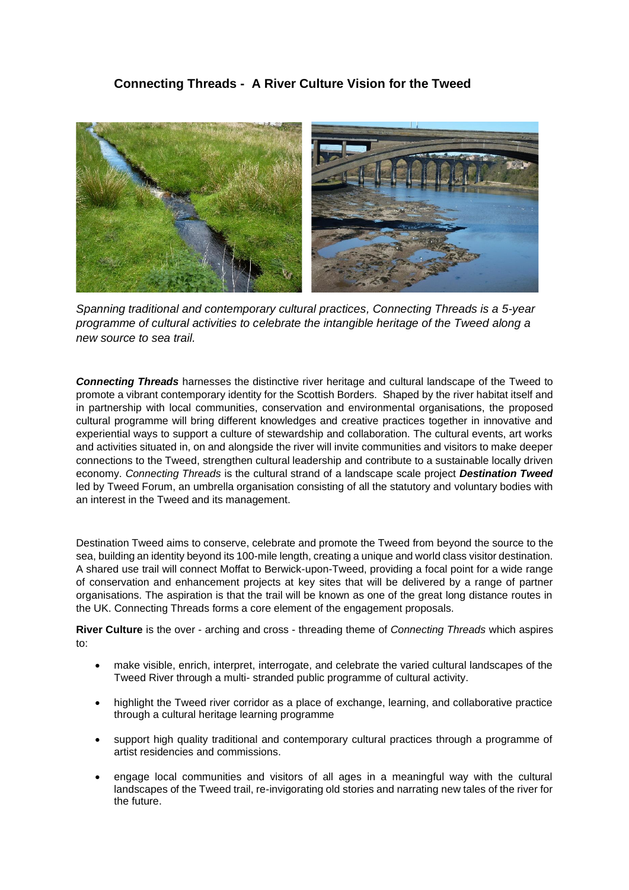# **Connecting Threads - A River Culture Vision for the Tweed**



*Spanning traditional and contemporary cultural practices, Connecting Threads is a 5-year programme of cultural activities to celebrate the intangible heritage of the Tweed along a new source to sea trail.*

*Connecting Threads* harnesses the distinctive river heritage and cultural landscape of the Tweed to promote a vibrant contemporary identity for the Scottish Borders. Shaped by the river habitat itself and in partnership with local communities, conservation and environmental organisations, the proposed cultural programme will bring different knowledges and creative practices together in innovative and experiential ways to support a culture of stewardship and collaboration. The cultural events, art works and activities situated in, on and alongside the river will invite communities and visitors to make deeper connections to the Tweed, strengthen cultural leadership and contribute to a sustainable locally driven economy. *Connecting Threads* is the cultural strand of a landscape scale project *Destination Tweed* led by Tweed Forum, an umbrella organisation consisting of all the statutory and voluntary bodies with an interest in the Tweed and its management.

Destination Tweed aims to conserve, celebrate and promote the Tweed from beyond the source to the sea, building an identity beyond its 100-mile length, creating a unique and world class visitor destination. A shared use trail will connect Moffat to Berwick-upon-Tweed, providing a focal point for a wide range of conservation and enhancement projects at key sites that will be delivered by a range of partner organisations. The aspiration is that the trail will be known as one of the great long distance routes in the UK. Connecting Threads forms a core element of the engagement proposals.

**River Culture** is the over - arching and cross - threading theme of *Connecting Threads* which aspires to:

- make visible, enrich, interpret, interrogate, and celebrate the varied cultural landscapes of the Tweed River through a multi- stranded public programme of cultural activity.
- highlight the Tweed river corridor as a place of exchange, learning, and collaborative practice through a cultural heritage learning programme
- support high quality traditional and contemporary cultural practices through a programme of artist residencies and commissions.
- engage local communities and visitors of all ages in a meaningful way with the cultural landscapes of the Tweed trail, re-invigorating old stories and narrating new tales of the river for the future.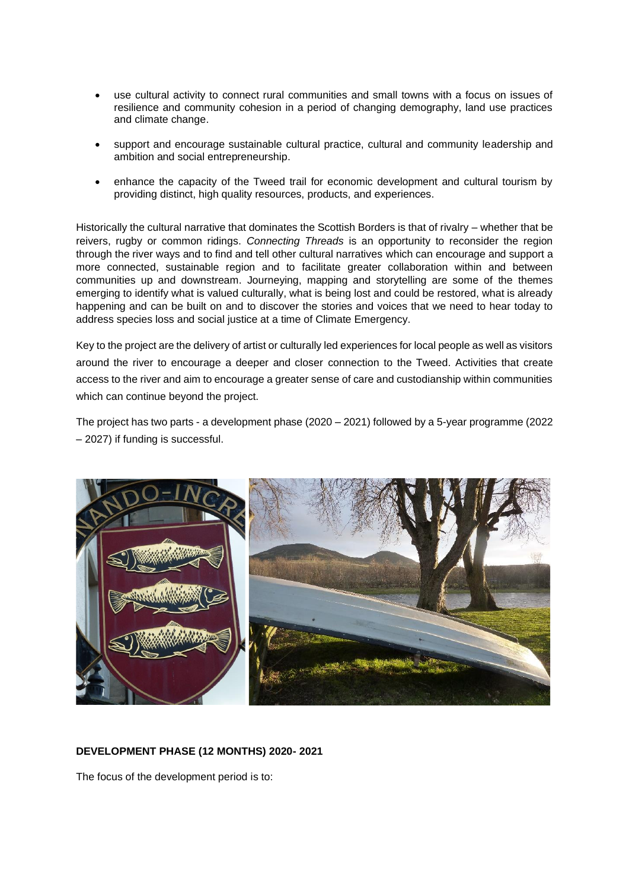- use cultural activity to connect rural communities and small towns with a focus on issues of resilience and community cohesion in a period of changing demography, land use practices and climate change.
- support and encourage sustainable cultural practice, cultural and community leadership and ambition and social entrepreneurship.
- enhance the capacity of the Tweed trail for economic development and cultural tourism by providing distinct, high quality resources, products, and experiences.

Historically the cultural narrative that dominates the Scottish Borders is that of rivalry – whether that be reivers, rugby or common ridings. *Connecting Threads* is an opportunity to reconsider the region through the river ways and to find and tell other cultural narratives which can encourage and support a more connected, sustainable region and to facilitate greater collaboration within and between communities up and downstream. Journeying, mapping and storytelling are some of the themes emerging to identify what is valued culturally, what is being lost and could be restored, what is already happening and can be built on and to discover the stories and voices that we need to hear today to address species loss and social justice at a time of Climate Emergency.

Key to the project are the delivery of artist or culturally led experiences for local people as well as visitors around the river to encourage a deeper and closer connection to the Tweed. Activities that create access to the river and aim to encourage a greater sense of care and custodianship within communities which can continue beyond the project.

The project has two parts - a development phase (2020 – 2021) followed by a 5-year programme (2022 – 2027) if funding is successful.



## **DEVELOPMENT PHASE (12 MONTHS) 2020- 2021**

The focus of the development period is to: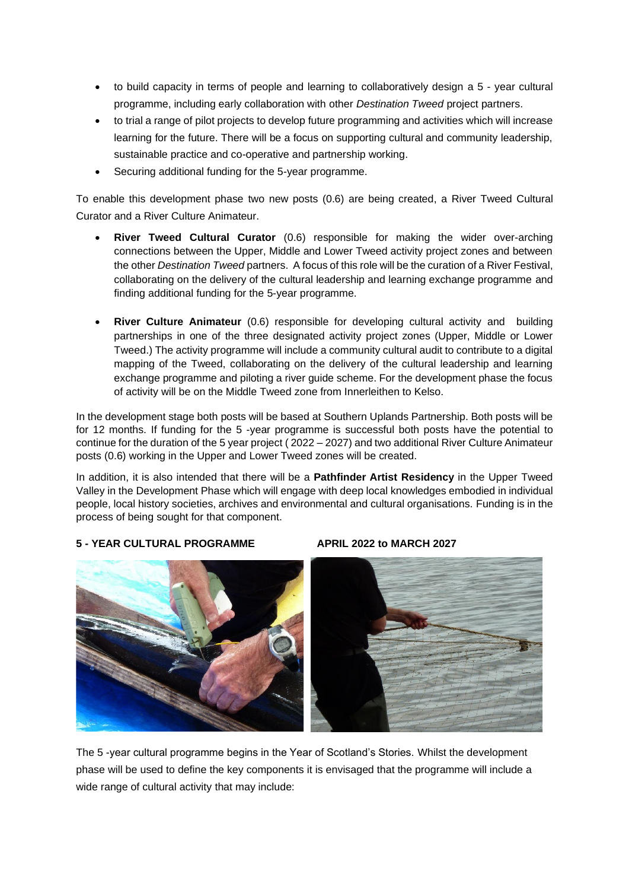- to build capacity in terms of people and learning to collaboratively design a 5 year cultural programme, including early collaboration with other *Destination Tweed* project partners.
- to trial a range of pilot projects to develop future programming and activities which will increase learning for the future. There will be a focus on supporting cultural and community leadership, sustainable practice and co-operative and partnership working.
- Securing additional funding for the 5-year programme.

To enable this development phase two new posts (0.6) are being created, a River Tweed Cultural Curator and a River Culture Animateur.

- **River Tweed Cultural Curator** (0.6) responsible for making the wider over-arching connections between the Upper, Middle and Lower Tweed activity project zones and between the other *Destination Tweed* partners. A focus of this role will be the curation of a River Festival, collaborating on the delivery of the cultural leadership and learning exchange programme and finding additional funding for the 5-year programme.
- **River Culture Animateur** (0.6) responsible for developing cultural activity and building partnerships in one of the three designated activity project zones (Upper, Middle or Lower Tweed.) The activity programme will include a community cultural audit to contribute to a digital mapping of the Tweed, collaborating on the delivery of the cultural leadership and learning exchange programme and piloting a river guide scheme. For the development phase the focus of activity will be on the Middle Tweed zone from Innerleithen to Kelso.

In the development stage both posts will be based at Southern Uplands Partnership. Both posts will be for 12 months. If funding for the 5 -year programme is successful both posts have the potential to continue for the duration of the 5 year project ( 2022 – 2027) and two additional River Culture Animateur posts (0.6) working in the Upper and Lower Tweed zones will be created.

In addition, it is also intended that there will be a **Pathfinder Artist Residency** in the Upper Tweed Valley in the Development Phase which will engage with deep local knowledges embodied in individual people, local history societies, archives and environmental and cultural organisations. Funding is in the process of being sought for that component.

# **5 - YEAR CULTURAL PROGRAMME APRIL 2022 to MARCH 2027**



The 5 -year cultural programme begins in the Year of Scotland's Stories. Whilst the development phase will be used to define the key components it is envisaged that the programme will include a wide range of cultural activity that may include: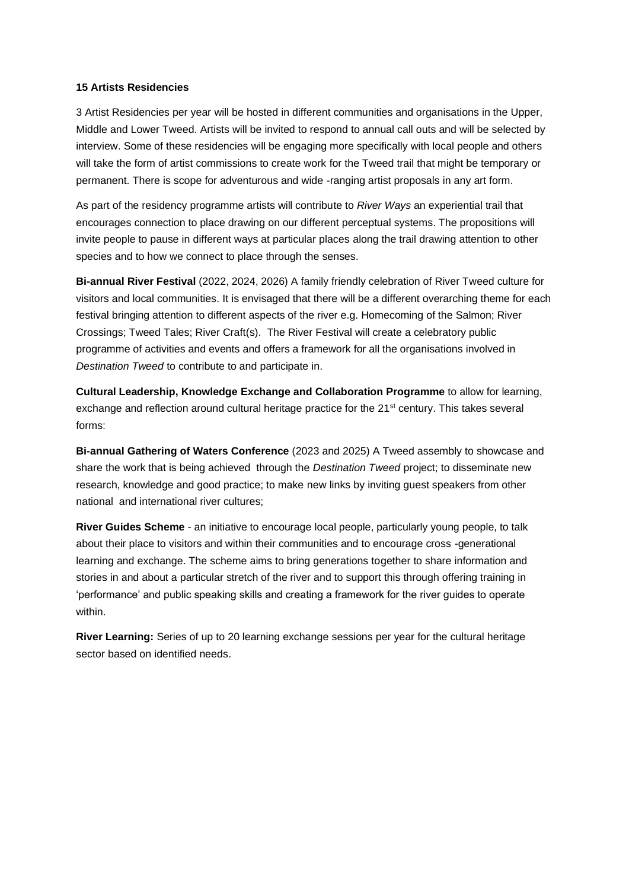## **15 Artists Residencies**

3 Artist Residencies per year will be hosted in different communities and organisations in the Upper, Middle and Lower Tweed. Artists will be invited to respond to annual call outs and will be selected by interview. Some of these residencies will be engaging more specifically with local people and others will take the form of artist commissions to create work for the Tweed trail that might be temporary or permanent. There is scope for adventurous and wide -ranging artist proposals in any art form.

As part of the residency programme artists will contribute to *River Ways* an experiential trail that encourages connection to place drawing on our different perceptual systems. The propositions will invite people to pause in different ways at particular places along the trail drawing attention to other species and to how we connect to place through the senses.

**Bi-annual River Festival** (2022, 2024, 2026) A family friendly celebration of River Tweed culture for visitors and local communities. It is envisaged that there will be a different overarching theme for each festival bringing attention to different aspects of the river e.g. Homecoming of the Salmon; River Crossings; Tweed Tales; River Craft(s). The River Festival will create a celebratory public programme of activities and events and offers a framework for all the organisations involved in *Destination Tweed* to contribute to and participate in.

**Cultural Leadership, Knowledge Exchange and Collaboration Programme** to allow for learning, exchange and reflection around cultural heritage practice for the 21<sup>st</sup> century. This takes several forms:

**Bi-annual Gathering of Waters Conference** (2023 and 2025) A Tweed assembly to showcase and share the work that is being achieved through the *Destination Tweed* project; to disseminate new research, knowledge and good practice; to make new links by inviting guest speakers from other national and international river cultures;

**River Guides Scheme** - an initiative to encourage local people, particularly young people, to talk about their place to visitors and within their communities and to encourage cross -generational learning and exchange. The scheme aims to bring generations together to share information and stories in and about a particular stretch of the river and to support this through offering training in 'performance' and public speaking skills and creating a framework for the river guides to operate within.

**River Learning:** Series of up to 20 learning exchange sessions per year for the cultural heritage sector based on identified needs.